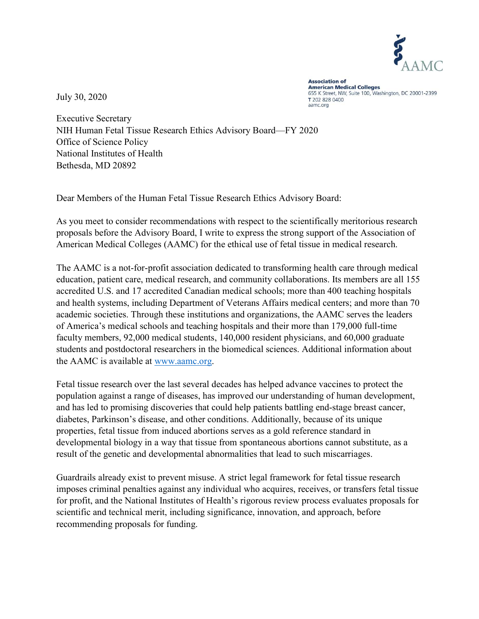

July 30, 2020

**Association of American Medical Colleges** 655 K Street, NW, Suite 100, Washington, DC 20001-2399 T 202 828 0400 aamc.org

Executive Secretary NIH Human Fetal Tissue Research Ethics Advisory Board—FY 2020 Office of Science Policy National Institutes of Health Bethesda, MD 20892

Dear Members of the Human Fetal Tissue Research Ethics Advisory Board:

As you meet to consider recommendations with respect to the scientifically meritorious research proposals before the Advisory Board, I write to express the strong support of the Association of American Medical Colleges (AAMC) for the ethical use of fetal tissue in medical research.

The AAMC is a not-for-profit association dedicated to transforming health care through medical education, patient care, medical research, and community collaborations. Its members are all 155 accredited U.S. and 17 accredited Canadian medical schools; more than 400 teaching hospitals and health systems, including Department of Veterans Affairs medical centers; and more than 70 academic societies. Through these institutions and organizations, the AAMC serves the leaders of America's medical schools and teaching hospitals and their more than 179,000 full-time faculty members, 92,000 medical students, 140,000 resident physicians, and 60,000 graduate students and postdoctoral researchers in the biomedical sciences. Additional information about the AAMC is available at www.aamc.org.

Fetal tissue research over the last several decades has helped advance vaccines to protect the population against a range of diseases, has improved our understanding of human development, and has led to promising discoveries that could help patients battling end-stage breast cancer, diabetes, Parkinson's disease, and other conditions. Additionally, because of its unique properties, fetal tissue from induced abortions serves as a gold reference standard in developmental biology in a way that tissue from spontaneous abortions cannot substitute, as a result of the genetic and developmental abnormalities that lead to such miscarriages.

Guardrails already exist to prevent misuse. A strict legal framework for fetal tissue research imposes criminal penalties against any individual who acquires, receives, or transfers fetal tissue for profit, and the National Institutes of Health's rigorous review process evaluates proposals for scientific and technical merit, including significance, innovation, and approach, before recommending proposals for funding.